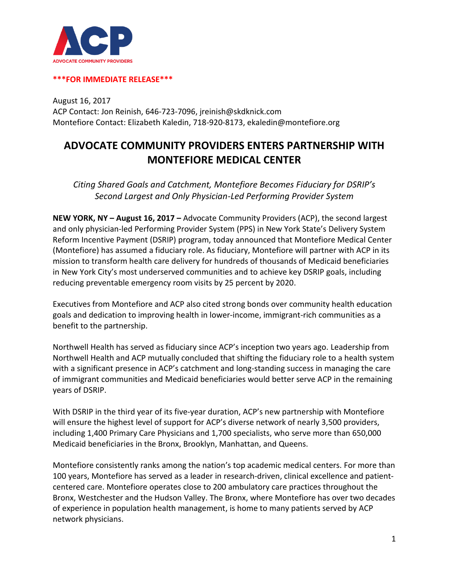

## **\*\*\*FOR IMMEDIATE RELEASE\*\*\***

August 16, 2017 ACP Contact: Jon Reinish, 646-723-7096, jreinish@skdknick.com Montefiore Contact: Elizabeth Kaledin, 718-920-8173, ekaledin@montefiore.org

## **ADVOCATE COMMUNITY PROVIDERS ENTERS PARTNERSHIP WITH MONTEFIORE MEDICAL CENTER**

*Citing Shared Goals and Catchment, Montefiore Becomes Fiduciary for DSRIP's Second Largest and Only Physician-Led Performing Provider System*

**NEW YORK, NY – August 16, 2017 –** Advocate Community Providers (ACP), the second largest and only physician-led Performing Provider System (PPS) in New York State's Delivery System Reform Incentive Payment (DSRIP) program, today announced that Montefiore Medical Center (Montefiore) has assumed a fiduciary role. As fiduciary, Montefiore will partner with ACP in its mission to transform health care delivery for hundreds of thousands of Medicaid beneficiaries in New York City's most underserved communities and to achieve key DSRIP goals, including reducing preventable emergency room visits by 25 percent by 2020.

Executives from Montefiore and ACP also cited strong bonds over community health education goals and dedication to improving health in lower-income, immigrant-rich communities as a benefit to the partnership.

Northwell Health has served as fiduciary since ACP's inception two years ago. Leadership from Northwell Health and ACP mutually concluded that shifting the fiduciary role to a health system with a significant presence in ACP's catchment and long-standing success in managing the care of immigrant communities and Medicaid beneficiaries would better serve ACP in the remaining years of DSRIP.

With DSRIP in the third year of its five-year duration, ACP's new partnership with Montefiore will ensure the highest level of support for ACP's diverse network of nearly 3,500 providers, including 1,400 Primary Care Physicians and 1,700 specialists, who serve more than 650,000 Medicaid beneficiaries in the Bronx, Brooklyn, Manhattan, and Queens.

Montefiore consistently ranks among the nation's top academic medical centers. For more than 100 years, Montefiore has served as a leader in research-driven, clinical excellence and patientcentered care. Montefiore operates close to 200 ambulatory care practices throughout the Bronx, Westchester and the Hudson Valley. The Bronx, where Montefiore has over two decades of experience in population health management, is home to many patients served by ACP network physicians.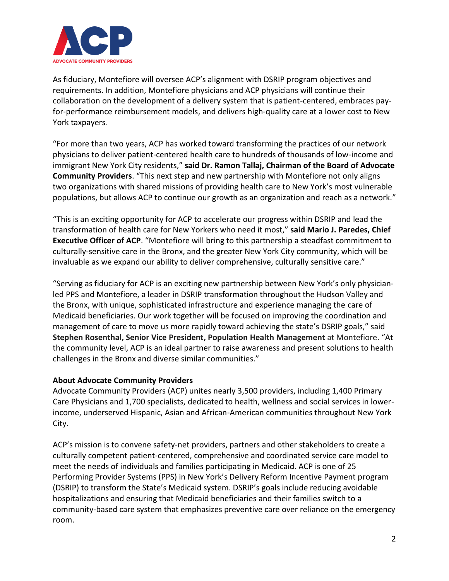

As fiduciary, Montefiore will oversee ACP's alignment with DSRIP program objectives and requirements. In addition, Montefiore physicians and ACP physicians will continue their collaboration on the development of a delivery system that is patient-centered, embraces payfor-performance reimbursement models, and delivers high-quality care at a lower cost to New York taxpayers.

"For more than two years, ACP has worked toward transforming the practices of our network physicians to deliver patient-centered health care to hundreds of thousands of low-income and immigrant New York City residents," **said Dr. Ramon Tallaj, Chairman of the Board of Advocate Community Providers**. "This next step and new partnership with Montefiore not only aligns two organizations with shared missions of providing health care to New York's most vulnerable populations, but allows ACP to continue our growth as an organization and reach as a network."

"This is an exciting opportunity for ACP to accelerate our progress within DSRIP and lead the transformation of health care for New Yorkers who need it most," **said Mario J. Paredes, Chief Executive Officer of ACP**. "Montefiore will bring to this partnership a steadfast commitment to culturally-sensitive care in the Bronx, and the greater New York City community, which will be invaluable as we expand our ability to deliver comprehensive, culturally sensitive care."

"Serving as fiduciary for ACP is an exciting new partnership between New York's only physicianled PPS and Montefiore, a leader in DSRIP transformation throughout the Hudson Valley and the Bronx, with unique, sophisticated infrastructure and experience managing the care of Medicaid beneficiaries. Our work together will be focused on improving the coordination and management of care to move us more rapidly toward achieving the state's DSRIP goals," said **Stephen Rosenthal, Senior Vice President, Population Health Management** at Montefiore. "At the community level, ACP is an ideal partner to raise awareness and present solutions to health challenges in the Bronx and diverse similar communities."

## **About Advocate Community Providers**

Advocate Community Providers (ACP) unites nearly 3,500 providers, including 1,400 Primary Care Physicians and 1,700 specialists, dedicated to health, wellness and social services in lowerincome, underserved Hispanic, Asian and African-American communities throughout New York City.

ACP's mission is to convene safety-net providers, partners and other stakeholders to create a culturally competent patient-centered, comprehensive and coordinated service care model to meet the needs of individuals and families participating in Medicaid. ACP is one of 25 Performing Provider Systems (PPS) in New York's Delivery Reform Incentive Payment program (DSRIP) to transform the State's Medicaid system. DSRIP's goals include reducing avoidable hospitalizations and ensuring that Medicaid beneficiaries and their families switch to a community-based care system that emphasizes preventive care over reliance on the emergency room.